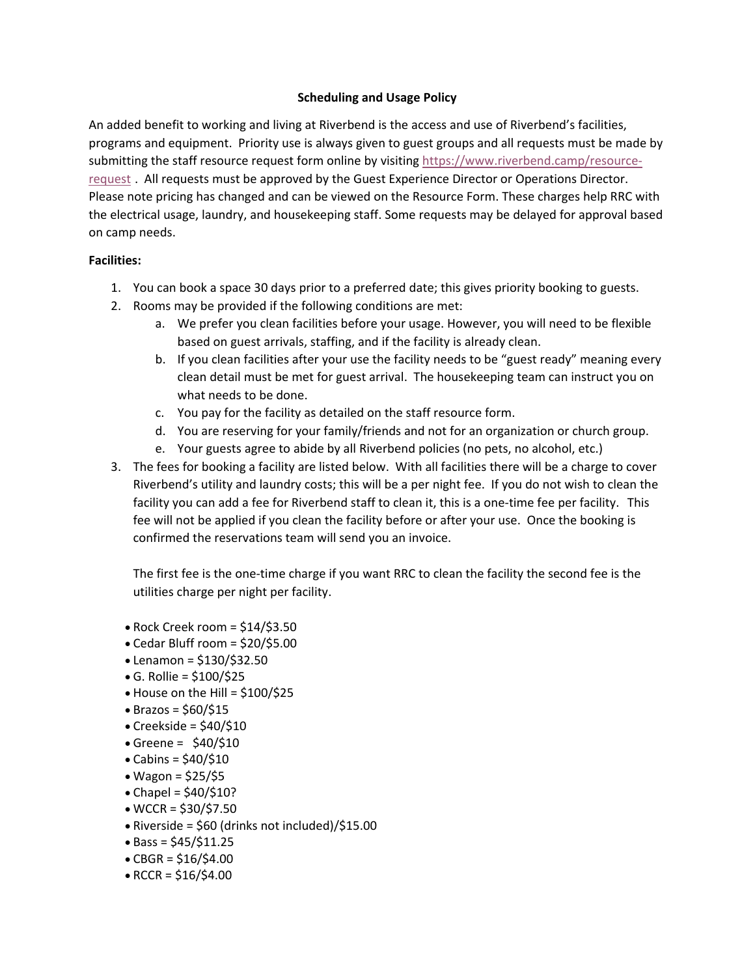# **Scheduling and Usage Policy**

An added benefit to working and living at Riverbend is the access and use of Riverbend's facilities, programs and equipment. Priority use is always given to guest groups and all requests must be made by submitting the staff resource request form online by visiting https://www.riverbend.camp/resource‐ request . All requests must be approved by the Guest Experience Director or Operations Director. Please note pricing has changed and can be viewed on the Resource Form. These charges help RRC with the electrical usage, laundry, and housekeeping staff. Some requests may be delayed for approval based on camp needs.

# **Facilities:**

- 1. You can book a space 30 days prior to a preferred date; this gives priority booking to guests.
- 2. Rooms may be provided if the following conditions are met:
	- a. We prefer you clean facilities before your usage. However, you will need to be flexible based on guest arrivals, staffing, and if the facility is already clean.
	- b. If you clean facilities after your use the facility needs to be "guest ready" meaning every clean detail must be met for guest arrival. The housekeeping team can instruct you on what needs to be done.
	- c. You pay for the facility as detailed on the staff resource form.
	- d. You are reserving for your family/friends and not for an organization or church group.
	- e. Your guests agree to abide by all Riverbend policies (no pets, no alcohol, etc.)
- 3. The fees for booking a facility are listed below. With all facilities there will be a charge to cover Riverbend's utility and laundry costs; this will be a per night fee. If you do not wish to clean the facility you can add a fee for Riverbend staff to clean it, this is a one-time fee per facility. This fee will not be applied if you clean the facility before or after your use. Once the booking is confirmed the reservations team will send you an invoice.

The first fee is the one‐time charge if you want RRC to clean the facility the second fee is the utilities charge per night per facility.

- Rock Creek room = \$14/\$3.50
- $\bullet$  Cedar Bluff room = \$20/\$5.00
- Lenamon = \$130/\$32.50
- $\bullet$  G. Rollie = \$100/\$25
- $\bullet$  House on the Hill = \$100/\$25
- $\bullet$  Brazos = \$60/\$15
- $\bullet$  Creekside = \$40/\$10
- $\textdegree$  Greene = \$40/\$10
- $\bullet$  Cabins = \$40/\$10
- Wagon =  $$25/$5$
- $\bullet$  Chapel = \$40/\$10?
- $\bullet$  WCCR = \$30/\$7.50
- Riverside =  $$60$  (drinks not included)/ $$15.00$
- $\bullet$  Bass = \$45/\$11.25
- $\bullet$  CBGR = \$16/\$4.00
- $\text{RCCR} = $16/$4.00$